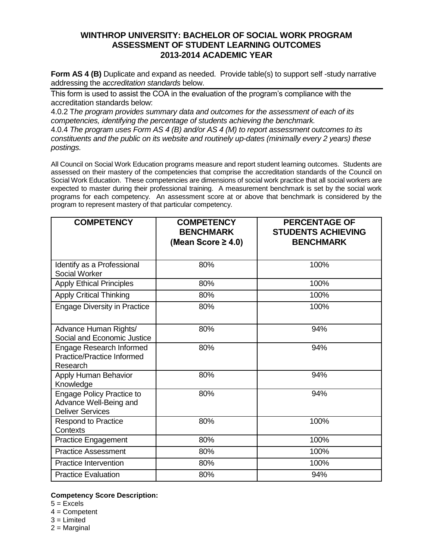## **WINTHROP UNIVERSITY: BACHELOR OF SOCIAL WORK PROGRAM ASSESSMENT OF STUDENT LEARNING OUTCOMES 2013-2014 ACADEMIC YEAR**

**Form AS 4 (B)** Duplicate and expand as needed. Provide table(s) to support self-study narrative addressing the a*ccreditation standards* below.

This form is used to assist the COA in the evaluation of the program's compliance with the accreditation standards below:

4.0.2 T*he program provides summary data and outcomes for the assessment of each of its competencies, identifying the percentage of students achieving the benchmark.* 4.0.4 *The program uses Form AS 4 (B) and/or AS 4 (M) to report assessment outcomes to its constituents and the public on its website and routinely up-dates (minimally every 2 years) these* 

*postings.*

All Council on Social Work Education programs measure and report student learning outcomes. Students are assessed on their mastery of the competencies that comprise the accreditation standards of the Council on Social Work Education. These competencies are dimensions of social work practice that all social workers are expected to master during their professional training. A measurement benchmark is set by the social work programs for each competency. An assessment score at or above that benchmark is considered by the program to represent mastery of that particular competency.

| <b>COMPETENCY</b>                                                                     | <b>COMPETENCY</b><br><b>BENCHMARK</b><br>(Mean Score $\geq$ 4.0) | <b>PERCENTAGE OF</b><br><b>STUDENTS ACHIEVING</b><br><b>BENCHMARK</b> |
|---------------------------------------------------------------------------------------|------------------------------------------------------------------|-----------------------------------------------------------------------|
| Identify as a Professional<br>Social Worker                                           | 80%                                                              | 100%                                                                  |
| <b>Apply Ethical Principles</b>                                                       | 80%                                                              | 100%                                                                  |
| <b>Apply Critical Thinking</b>                                                        | 80%                                                              | 100%                                                                  |
| <b>Engage Diversity in Practice</b>                                                   | 80%                                                              | 100%                                                                  |
| Advance Human Rights/<br>Social and Economic Justice                                  | 80%                                                              | 94%                                                                   |
| Engage Research Informed<br><b>Practice/Practice Informed</b><br>Research             | 80%                                                              | 94%                                                                   |
| Apply Human Behavior<br>Knowledge                                                     | 80%                                                              | 94%                                                                   |
| <b>Engage Policy Practice to</b><br>Advance Well-Being and<br><b>Deliver Services</b> | 80%                                                              | 94%                                                                   |
| <b>Respond to Practice</b><br>Contexts                                                | 80%                                                              | 100%                                                                  |
| <b>Practice Engagement</b>                                                            | 80%                                                              | 100%                                                                  |
| <b>Practice Assessment</b>                                                            | 80%                                                              | 100%                                                                  |
| <b>Practice Intervention</b>                                                          | 80%                                                              | 100%                                                                  |
| <b>Practice Evaluation</b>                                                            | 80%                                                              | 94%                                                                   |

## **Competency Score Description:**

- $5 =$ Excels
- 4 = Competent
- $3$  = Limited
- $2$  = Marginal